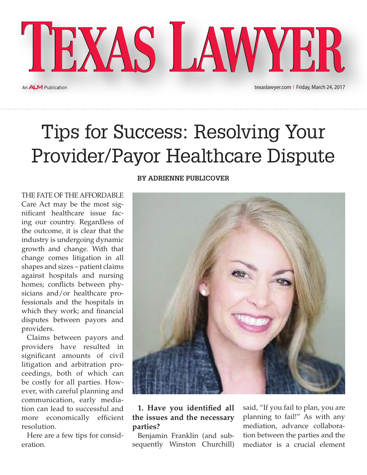

texaslawyer.com | Friday, March 24, 2017

# Tips for Success: Resolving Your Provider/Payor Healthcare Dispute

The fate of the Affordable Care Act may be the most significant healthcare issue facing our country. Regardless of the outcome, it is clear that the industry is undergoing dynamic growth and change. With that change comes litigation in all shapes and sizes – patient claims against hospitals and nursing homes; conflicts between physicians and/or healthcare professionals and the hospitals in which they work; and financial disputes between payors and providers.

Claims between payors and providers have resulted in significant amounts of civil litigation and arbitration proceedings, both of which can be costly for all parties. However, with careful planning and communication, early [media](https://www.jamsadr.com/mediation)[tion](https://www.jamsadr.com/mediation) can lead to successful and more economically efficient resolution.

Here are a few tips for consideration.

**By Adrienne Publicover**



## **1. Have you identified all the issues and the necessary parties?**

Benjamin Franklin (and subsequently Winston Churchill) said, "If you fail to plan, you are planning to fail!" As with any mediation, advance collaboration between the parties and the mediator is a crucial element